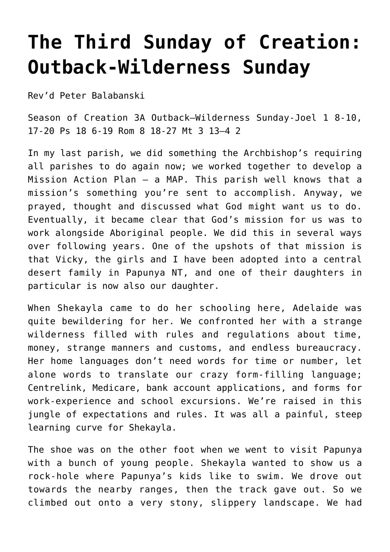## **[The Third Sunday of Creation:](https://stjohnsadelaide.org.au/the-third-sunday-of-creationl-outback-wilderness-sunday/) [Outback-Wilderness Sunday](https://stjohnsadelaide.org.au/the-third-sunday-of-creationl-outback-wilderness-sunday/)**

Rev'd Peter Balabanski

Season of Creation 3A Outback–Wilderness Sunday-Joel 1 8-10, 17-20 Ps 18 6-19 Rom 8 18-27 Mt 3 13–4 2

In my last parish, we did something the Archbishop's requiring all parishes to do again now; we worked together to develop a Mission Action Plan – a MAP. This parish well knows that a mission's something you're sent to accomplish. Anyway, we prayed, thought and discussed what God might want us to do. Eventually, it became clear that God's mission for us was to work alongside Aboriginal people. We did this in several ways over following years. One of the upshots of that mission is that Vicky, the girls and I have been adopted into a central desert family in Papunya NT, and one of their daughters in particular is now also our daughter.

When Shekayla came to do her schooling here, Adelaide was quite bewildering for her. We confronted her with a strange wilderness filled with rules and regulations about time, money, strange manners and customs, and endless bureaucracy. Her home languages don't need words for time or number, let alone words to translate our crazy form-filling language; Centrelink, Medicare, bank account applications, and forms for work-experience and school excursions. We're raised in this jungle of expectations and rules. It was all a painful, steep learning curve for Shekayla.

The shoe was on the other foot when we went to visit Papunya with a bunch of young people. Shekayla wanted to show us a rock-hole where Papunya's kids like to swim. We drove out towards the nearby ranges, then the track gave out. So we climbed out onto a very stony, slippery landscape. We had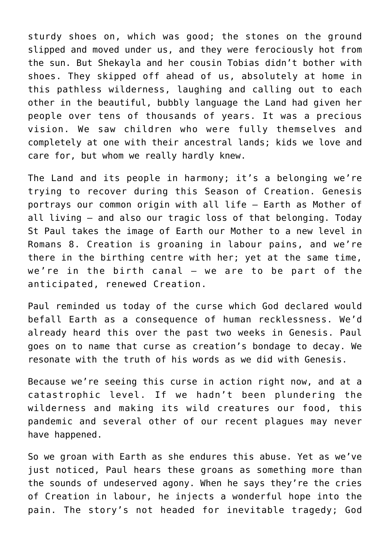sturdy shoes on, which was good; the stones on the ground slipped and moved under us, and they were ferociously hot from the sun. But Shekayla and her cousin Tobias didn't bother with shoes. They skipped off ahead of us, absolutely at home in this pathless wilderness, laughing and calling out to each other in the beautiful, bubbly language the Land had given her people over tens of thousands of years. It was a precious vision. We saw children who were fully themselves and completely at one with their ancestral lands; kids we love and care for, but whom we really hardly knew.

The Land and its people in harmony; it's a belonging we're trying to recover during this Season of Creation. Genesis portrays our common origin with all life – Earth as Mother of all living – and also our tragic loss of that belonging. Today St Paul takes the image of Earth our Mother to a new level in Romans 8. Creation is groaning in labour pains, and we're there in the birthing centre with her; yet at the same time, we're in the birth canal – we are to be part of the anticipated, renewed Creation.

Paul reminded us today of the curse which God declared would befall Earth as a consequence of human recklessness. We'd already heard this over the past two weeks in Genesis. Paul goes on to name that curse as creation's bondage to decay. We resonate with the truth of his words as we did with Genesis.

Because we're seeing this curse in action right now, and at a catastrophic level. If we hadn't been plundering the wilderness and making its wild creatures our food, this pandemic and several other of our recent plagues may never have happened.

So we groan with Earth as she endures this abuse. Yet as we've just noticed, Paul hears these groans as something more than the sounds of undeserved agony. When he says they're the cries of Creation in labour, he injects a wonderful hope into the pain. The story's not headed for inevitable tragedy; God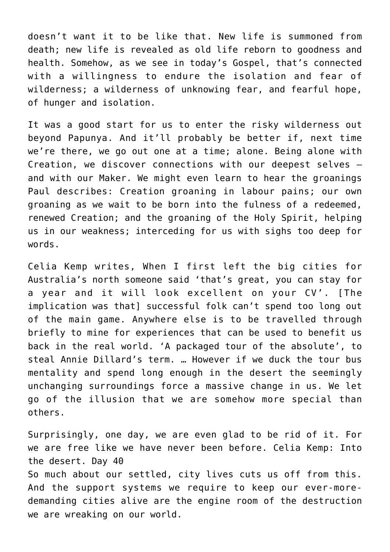doesn't want it to be like that. New life is summoned from death; new life is revealed as old life reborn to goodness and health. Somehow, as we see in today's Gospel, that's connected with a willingness to endure the isolation and fear of wilderness; a wilderness of unknowing fear, and fearful hope, of hunger and isolation.

It was a good start for us to enter the risky wilderness out beyond Papunya. And it'll probably be better if, next time we're there, we go out one at a time; alone. Being alone with Creation, we discover connections with our deepest selves – and with our Maker. We might even learn to hear the groanings Paul describes: Creation groaning in labour pains; our own groaning as we wait to be born into the fulness of a redeemed, renewed Creation; and the groaning of the Holy Spirit, helping us in our weakness; interceding for us with sighs too deep for words.

Celia Kemp writes, When I first left the big cities for Australia's north someone said 'that's great, you can stay for a year and it will look excellent on your CV'. [The implication was thatl successful folk can't spend too long out of the main game. Anywhere else is to be travelled through briefly to mine for experiences that can be used to benefit us back in the real world. 'A packaged tour of the absolute', to steal Annie Dillard's term. … However if we duck the tour bus mentality and spend long enough in the desert the seemingly unchanging surroundings force a massive change in us. We let go of the illusion that we are somehow more special than others.

Surprisingly, one day, we are even glad to be rid of it. For we are free like we have never been before. Celia Kemp: Into the desert. Day 40

So much about our settled, city lives cuts us off from this. And the support systems we require to keep our ever-moredemanding cities alive are the engine room of the destruction we are wreaking on our world.